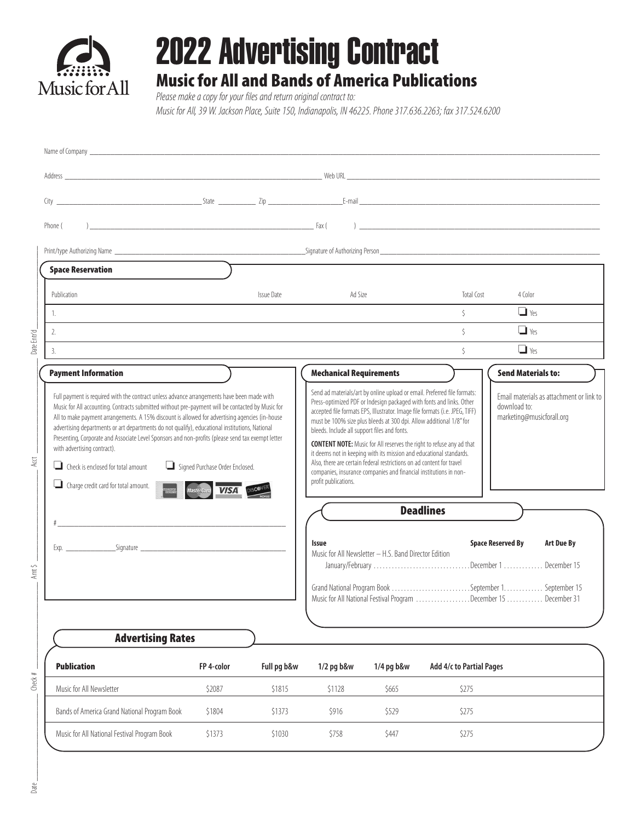

## 2022 Advertising Contract

## Music for All and Bands of America Publications

*Please make a copy for your files and return original contract to:* 

*Music for All, 39 W. Jackson Place, Suite 150, Indianapolis, IN 46225. Phone 317.636.2263; fax 317.524.6200*

| Phone (                                                                                                                                                                                                                                                                                                                                                                                                                   |                                                                       |                   |                                                                                                                                                                                                                                                                                                                                                                  |                                                       |                                                                             |                                                                                                                                                       |
|---------------------------------------------------------------------------------------------------------------------------------------------------------------------------------------------------------------------------------------------------------------------------------------------------------------------------------------------------------------------------------------------------------------------------|-----------------------------------------------------------------------|-------------------|------------------------------------------------------------------------------------------------------------------------------------------------------------------------------------------------------------------------------------------------------------------------------------------------------------------------------------------------------------------|-------------------------------------------------------|-----------------------------------------------------------------------------|-------------------------------------------------------------------------------------------------------------------------------------------------------|
|                                                                                                                                                                                                                                                                                                                                                                                                                           |                                                                       |                   |                                                                                                                                                                                                                                                                                                                                                                  |                                                       |                                                                             |                                                                                                                                                       |
| <b>Space Reservation</b>                                                                                                                                                                                                                                                                                                                                                                                                  |                                                                       |                   |                                                                                                                                                                                                                                                                                                                                                                  |                                                       |                                                                             |                                                                                                                                                       |
| Publication                                                                                                                                                                                                                                                                                                                                                                                                               |                                                                       | <b>Issue Date</b> | Ad Size                                                                                                                                                                                                                                                                                                                                                          |                                                       | Total Cost                                                                  | 4 Color                                                                                                                                               |
| 1.<br>and the control of the control of the control of the control of the control of the control of the control of the                                                                                                                                                                                                                                                                                                    |                                                                       |                   |                                                                                                                                                                                                                                                                                                                                                                  |                                                       | $\zeta$                                                                     | $\Box$ Yes                                                                                                                                            |
| 2.<br>and the control of the control of the control of the control of the control of the control of the control of the                                                                                                                                                                                                                                                                                                    |                                                                       |                   |                                                                                                                                                                                                                                                                                                                                                                  |                                                       | $\zeta$                                                                     | $\Box$ Yes                                                                                                                                            |
| 3.                                                                                                                                                                                                                                                                                                                                                                                                                        |                                                                       |                   |                                                                                                                                                                                                                                                                                                                                                                  |                                                       | $\zeta$                                                                     | $\Box$ Yes                                                                                                                                            |
| <b>Payment Information</b>                                                                                                                                                                                                                                                                                                                                                                                                |                                                                       |                   | <b>Mechanical Requirements</b>                                                                                                                                                                                                                                                                                                                                   |                                                       |                                                                             | <b>Send Materials to:</b>                                                                                                                             |
| All to make payment arrangements. A 15% discount is allowed for advertising agencies (in-house<br>advertising departments or art departments do not qualify), educational institutions, National<br>Presenting, Corporate and Associate Level Sponsors and non-profits (please send tax exempt letter<br>with advertising contract).<br>$\Box$ Check is enclosed for total amount<br>Charge credit card for total amount. | Signed Purchase Order Enclosed.<br>MasterCard<br><b>VISA</b> DISCOVER |                   | must be 100% size plus bleeds at 300 dpi. Allow additional 1/8" for<br>bleeds. Include all support files and fonts.<br>it deems not in keeping with its mission and educational standards.<br>Also, there are certain federal restrictions on ad content for travel<br>companies, insurance companies and financial institutions in non-<br>profit publications. |                                                       | <b>CONTENT NOTE:</b> Music for All reserves the right to refuse any ad that | marketing@musicforall.org                                                                                                                             |
|                                                                                                                                                                                                                                                                                                                                                                                                                           |                                                                       |                   | <b>Deadlines</b>                                                                                                                                                                                                                                                                                                                                                 |                                                       |                                                                             |                                                                                                                                                       |
|                                                                                                                                                                                                                                                                                                                                                                                                                           |                                                                       |                   | Issue                                                                                                                                                                                                                                                                                                                                                            | Music for All Newsletter - H.S. Band Director Edition |                                                                             | <b>Space Reserved By</b><br>Art Due By<br>January/February December 1 December 15<br>Music for All National Festival Program December 15  December 31 |
| <b>Advertising Rates</b>                                                                                                                                                                                                                                                                                                                                                                                                  |                                                                       |                   |                                                                                                                                                                                                                                                                                                                                                                  |                                                       |                                                                             |                                                                                                                                                       |
| <b>Publication</b>                                                                                                                                                                                                                                                                                                                                                                                                        | FP 4-color                                                            | Full pg b&w       | 1/2 pg b&w                                                                                                                                                                                                                                                                                                                                                       | 1/4 pg b&w                                            | Add 4/c to Partial Pages                                                    |                                                                                                                                                       |
|                                                                                                                                                                                                                                                                                                                                                                                                                           |                                                                       |                   |                                                                                                                                                                                                                                                                                                                                                                  |                                                       |                                                                             |                                                                                                                                                       |
| Music for All Newsletter                                                                                                                                                                                                                                                                                                                                                                                                  | \$2087                                                                | \$1815            | \$1128                                                                                                                                                                                                                                                                                                                                                           | \$665                                                 | \$275                                                                       |                                                                                                                                                       |
| Bands of America Grand National Program Book                                                                                                                                                                                                                                                                                                                                                                              | \$1804                                                                | \$1373            | \$916                                                                                                                                                                                                                                                                                                                                                            | \$529                                                 | \$275                                                                       |                                                                                                                                                       |